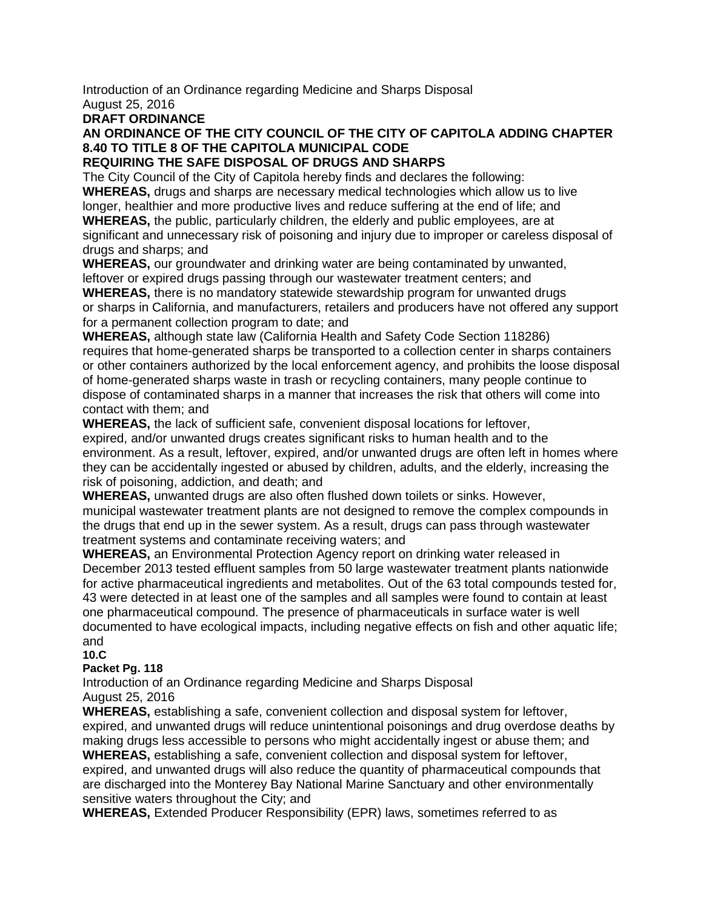Introduction of an Ordinance regarding Medicine and Sharps Disposal August 25, 2016

# **DRAFT ORDINANCE**

# **AN ORDINANCE OF THE CITY COUNCIL OF THE CITY OF CAPITOLA ADDING CHAPTER 8.40 TO TITLE 8 OF THE CAPITOLA MUNICIPAL CODE**

### **REQUIRING THE SAFE DISPOSAL OF DRUGS AND SHARPS**

The City Council of the City of Capitola hereby finds and declares the following: **WHEREAS,** drugs and sharps are necessary medical technologies which allow us to live longer, healthier and more productive lives and reduce suffering at the end of life; and **WHEREAS,** the public, particularly children, the elderly and public employees, are at significant and unnecessary risk of poisoning and injury due to improper or careless disposal of drugs and sharps; and

**WHEREAS,** our groundwater and drinking water are being contaminated by unwanted, leftover or expired drugs passing through our wastewater treatment centers; and

**WHEREAS,** there is no mandatory statewide stewardship program for unwanted drugs or sharps in California, and manufacturers, retailers and producers have not offered any support for a permanent collection program to date; and

**WHEREAS,** although state law (California Health and Safety Code Section 118286) requires that home-generated sharps be transported to a collection center in sharps containers or other containers authorized by the local enforcement agency, and prohibits the loose disposal of home-generated sharps waste in trash or recycling containers, many people continue to dispose of contaminated sharps in a manner that increases the risk that others will come into contact with them; and

**WHEREAS,** the lack of sufficient safe, convenient disposal locations for leftover, expired, and/or unwanted drugs creates significant risks to human health and to the environment. As a result, leftover, expired, and/or unwanted drugs are often left in homes where they can be accidentally ingested or abused by children, adults, and the elderly, increasing the risk of poisoning, addiction, and death; and

**WHEREAS,** unwanted drugs are also often flushed down toilets or sinks. However, municipal wastewater treatment plants are not designed to remove the complex compounds in the drugs that end up in the sewer system. As a result, drugs can pass through wastewater treatment systems and contaminate receiving waters; and

**WHEREAS,** an Environmental Protection Agency report on drinking water released in December 2013 tested effluent samples from 50 large wastewater treatment plants nationwide for active pharmaceutical ingredients and metabolites. Out of the 63 total compounds tested for, 43 were detected in at least one of the samples and all samples were found to contain at least one pharmaceutical compound. The presence of pharmaceuticals in surface water is well documented to have ecological impacts, including negative effects on fish and other aquatic life; and

#### **10.C**

# **Packet Pg. 118**

Introduction of an Ordinance regarding Medicine and Sharps Disposal August 25, 2016

**WHEREAS,** establishing a safe, convenient collection and disposal system for leftover, expired, and unwanted drugs will reduce unintentional poisonings and drug overdose deaths by making drugs less accessible to persons who might accidentally ingest or abuse them; and **WHEREAS,** establishing a safe, convenient collection and disposal system for leftover, expired, and unwanted drugs will also reduce the quantity of pharmaceutical compounds that are discharged into the Monterey Bay National Marine Sanctuary and other environmentally sensitive waters throughout the City; and

**WHEREAS,** Extended Producer Responsibility (EPR) laws, sometimes referred to as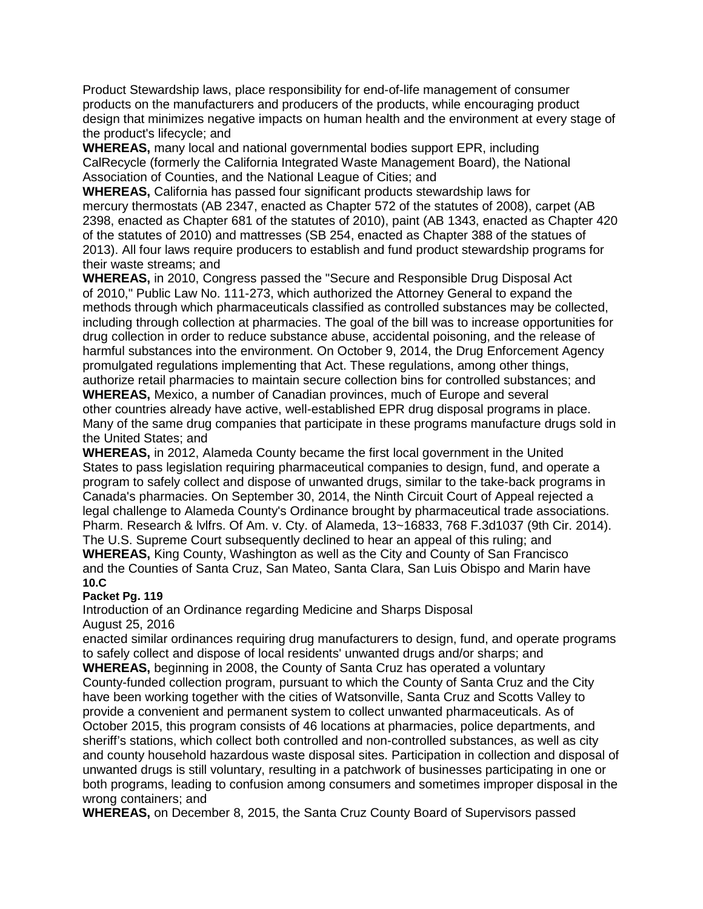Product Stewardship laws, place responsibility for end-of-life management of consumer products on the manufacturers and producers of the products, while encouraging product design that minimizes negative impacts on human health and the environment at every stage of the product's lifecycle; and

**WHEREAS,** many local and national governmental bodies support EPR, including CalRecycle (formerly the California Integrated Waste Management Board), the National Association of Counties, and the National League of Cities; and

**WHEREAS,** California has passed four significant products stewardship laws for mercury thermostats (AB 2347, enacted as Chapter 572 of the statutes of 2008), carpet (AB 2398, enacted as Chapter 681 of the statutes of 2010), paint (AB 1343, enacted as Chapter 420 of the statutes of 2010) and mattresses (SB 254, enacted as Chapter 388 of the statues of 2013). All four laws require producers to establish and fund product stewardship programs for their waste streams; and

**WHEREAS,** in 2010, Congress passed the "Secure and Responsible Drug Disposal Act of 2010," Public Law No. 111-273, which authorized the Attorney General to expand the methods through which pharmaceuticals classified as controlled substances may be collected, including through collection at pharmacies. The goal of the bill was to increase opportunities for drug collection in order to reduce substance abuse, accidental poisoning, and the release of harmful substances into the environment. On October 9, 2014, the Drug Enforcement Agency promulgated regulations implementing that Act. These regulations, among other things, authorize retail pharmacies to maintain secure collection bins for controlled substances; and **WHEREAS,** Mexico, a number of Canadian provinces, much of Europe and several other countries already have active, well-established EPR drug disposal programs in place.

Many of the same drug companies that participate in these programs manufacture drugs sold in the United States; and

**WHEREAS,** in 2012, Alameda County became the first local government in the United States to pass legislation requiring pharmaceutical companies to design, fund, and operate a program to safely collect and dispose of unwanted drugs, similar to the take-back programs in Canada's pharmacies. On September 30, 2014, the Ninth Circuit Court of Appeal rejected a legal challenge to Alameda County's Ordinance brought by pharmaceutical trade associations. Pharm. Research & lvlfrs. Of Am. v. Cty. of Alameda, 13~16833, 768 F.3d1037 (9th Cir. 2014). The U.S. Supreme Court subsequently declined to hear an appeal of this ruling; and **WHEREAS,** King County, Washington as well as the City and County of San Francisco and the Counties of Santa Cruz, San Mateo, Santa Clara, San Luis Obispo and Marin have **10.C**

#### **Packet Pg. 119**

Introduction of an Ordinance regarding Medicine and Sharps Disposal August 25, 2016

enacted similar ordinances requiring drug manufacturers to design, fund, and operate programs to safely collect and dispose of local residents' unwanted drugs and/or sharps; and

**WHEREAS,** beginning in 2008, the County of Santa Cruz has operated a voluntary County-funded collection program, pursuant to which the County of Santa Cruz and the City have been working together with the cities of Watsonville, Santa Cruz and Scotts Valley to provide a convenient and permanent system to collect unwanted pharmaceuticals. As of October 2015, this program consists of 46 locations at pharmacies, police departments, and sheriff's stations, which collect both controlled and non-controlled substances, as well as city and county household hazardous waste disposal sites. Participation in collection and disposal of unwanted drugs is still voluntary, resulting in a patchwork of businesses participating in one or both programs, leading to confusion among consumers and sometimes improper disposal in the wrong containers; and

**WHEREAS,** on December 8, 2015, the Santa Cruz County Board of Supervisors passed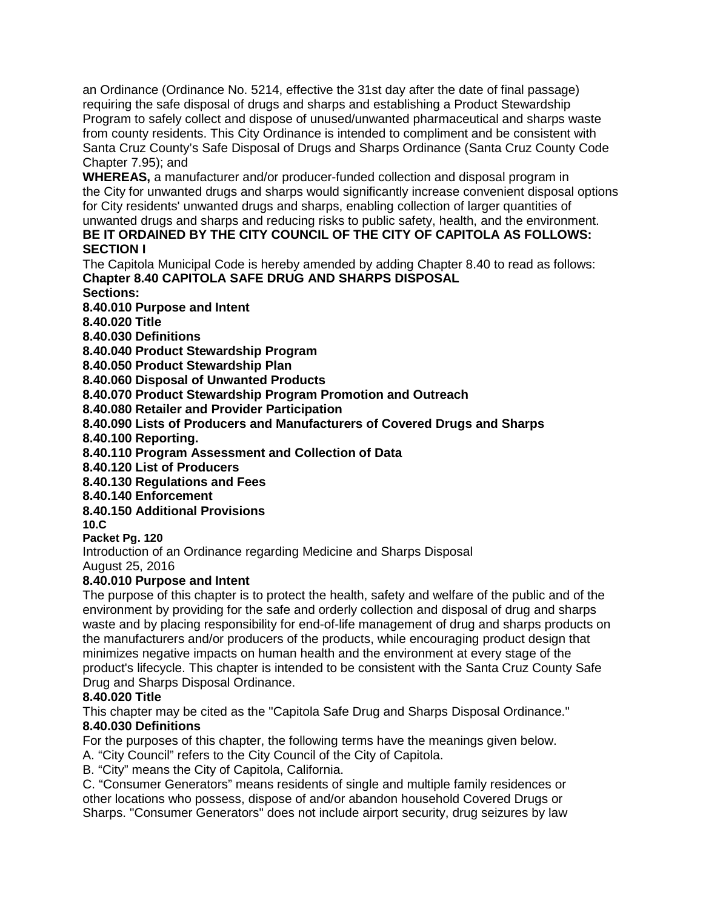an Ordinance (Ordinance No. 5214, effective the 31st day after the date of final passage) requiring the safe disposal of drugs and sharps and establishing a Product Stewardship Program to safely collect and dispose of unused/unwanted pharmaceutical and sharps waste from county residents. This City Ordinance is intended to compliment and be consistent with Santa Cruz County's Safe Disposal of Drugs and Sharps Ordinance (Santa Cruz County Code Chapter 7.95); and

**WHEREAS,** a manufacturer and/or producer-funded collection and disposal program in the City for unwanted drugs and sharps would significantly increase convenient disposal options for City residents' unwanted drugs and sharps, enabling collection of larger quantities of unwanted drugs and sharps and reducing risks to public safety, health, and the environment.

# **BE IT ORDAINED BY THE CITY COUNCIL OF THE CITY OF CAPITOLA AS FOLLOWS: SECTION I**

The Capitola Municipal Code is hereby amended by adding Chapter 8.40 to read as follows: **Chapter 8.40 CAPITOLA SAFE DRUG AND SHARPS DISPOSAL**

**Sections:**

**8.40.010 Purpose and Intent**

**8.40.020 Title**

**8.40.030 Definitions**

**8.40.040 Product Stewardship Program**

**8.40.050 Product Stewardship Plan**

**8.40.060 Disposal of Unwanted Products**

**8.40.070 Product Stewardship Program Promotion and Outreach**

**8.40.080 Retailer and Provider Participation**

**8.40.090 Lists of Producers and Manufacturers of Covered Drugs and Sharps**

**8.40.100 Reporting.**

**8.40.110 Program Assessment and Collection of Data**

**8.40.120 List of Producers**

**8.40.130 Regulations and Fees**

- **8.40.140 Enforcement**
- **8.40.150 Additional Provisions**

**10.C**

**Packet Pg. 120**

Introduction of an Ordinance regarding Medicine and Sharps Disposal August 25, 2016

#### **8.40.010 Purpose and Intent**

The purpose of this chapter is to protect the health, safety and welfare of the public and of the environment by providing for the safe and orderly collection and disposal of drug and sharps waste and by placing responsibility for end-of-life management of drug and sharps products on the manufacturers and/or producers of the products, while encouraging product design that minimizes negative impacts on human health and the environment at every stage of the product's lifecycle. This chapter is intended to be consistent with the Santa Cruz County Safe Drug and Sharps Disposal Ordinance.

#### **8.40.020 Title**

This chapter may be cited as the "Capitola Safe Drug and Sharps Disposal Ordinance." **8.40.030 Definitions**

For the purposes of this chapter, the following terms have the meanings given below. A. "City Council" refers to the City Council of the City of Capitola.

B. "City" means the City of Capitola, California.

C. "Consumer Generators" means residents of single and multiple family residences or other locations who possess, dispose of and/or abandon household Covered Drugs or Sharps. "Consumer Generators" does not include airport security, drug seizures by law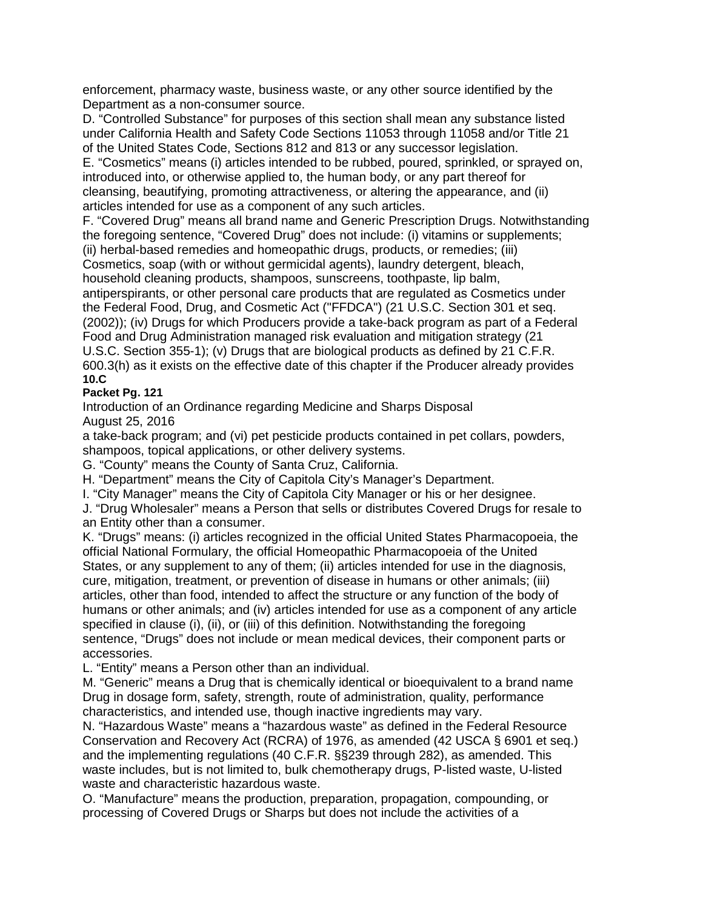enforcement, pharmacy waste, business waste, or any other source identified by the Department as a non-consumer source.

D. "Controlled Substance" for purposes of this section shall mean any substance listed under California Health and Safety Code Sections 11053 through 11058 and/or Title 21 of the United States Code, Sections 812 and 813 or any successor legislation.

E. "Cosmetics" means (i) articles intended to be rubbed, poured, sprinkled, or sprayed on, introduced into, or otherwise applied to, the human body, or any part thereof for cleansing, beautifying, promoting attractiveness, or altering the appearance, and (ii) articles intended for use as a component of any such articles.

F. "Covered Drug" means all brand name and Generic Prescription Drugs. Notwithstanding the foregoing sentence, "Covered Drug" does not include: (i) vitamins or supplements; (ii) herbal-based remedies and homeopathic drugs, products, or remedies; (iii)

Cosmetics, soap (with or without germicidal agents), laundry detergent, bleach, household cleaning products, shampoos, sunscreens, toothpaste, lip balm,

antiperspirants, or other personal care products that are regulated as Cosmetics under the Federal Food, Drug, and Cosmetic Act ("FFDCA") (21 U.S.C. Section 301 et seq. (2002)); (iv) Drugs for which Producers provide a take-back program as part of a Federal Food and Drug Administration managed risk evaluation and mitigation strategy (21 U.S.C. Section 355-1); (v) Drugs that are biological products as defined by 21 C.F.R. 600.3(h) as it exists on the effective date of this chapter if the Producer already provides **10.C**

### **Packet Pg. 121**

Introduction of an Ordinance regarding Medicine and Sharps Disposal August 25, 2016

a take-back program; and (vi) pet pesticide products contained in pet collars, powders, shampoos, topical applications, or other delivery systems.

G. "County" means the County of Santa Cruz, California.

H. "Department" means the City of Capitola City's Manager's Department.

I. "City Manager" means the City of Capitola City Manager or his or her designee.

J. "Drug Wholesaler" means a Person that sells or distributes Covered Drugs for resale to an Entity other than a consumer.

K. "Drugs" means: (i) articles recognized in the official United States Pharmacopoeia, the official National Formulary, the official Homeopathic Pharmacopoeia of the United States, or any supplement to any of them; (ii) articles intended for use in the diagnosis, cure, mitigation, treatment, or prevention of disease in humans or other animals; (iii) articles, other than food, intended to affect the structure or any function of the body of humans or other animals; and (iv) articles intended for use as a component of any article specified in clause (i), (ii), or (iii) of this definition. Notwithstanding the foregoing sentence, "Drugs" does not include or mean medical devices, their component parts or accessories.

L. "Entity" means a Person other than an individual.

M. "Generic" means a Drug that is chemically identical or bioequivalent to a brand name Drug in dosage form, safety, strength, route of administration, quality, performance characteristics, and intended use, though inactive ingredients may vary.

N. "Hazardous Waste" means a "hazardous waste" as defined in the Federal Resource Conservation and Recovery Act (RCRA) of 1976, as amended (42 USCA § 6901 et seq.) and the implementing regulations (40 C.F.R. §§239 through 282), as amended. This waste includes, but is not limited to, bulk chemotherapy drugs, P-listed waste, U-listed waste and characteristic hazardous waste.

O. "Manufacture" means the production, preparation, propagation, compounding, or processing of Covered Drugs or Sharps but does not include the activities of a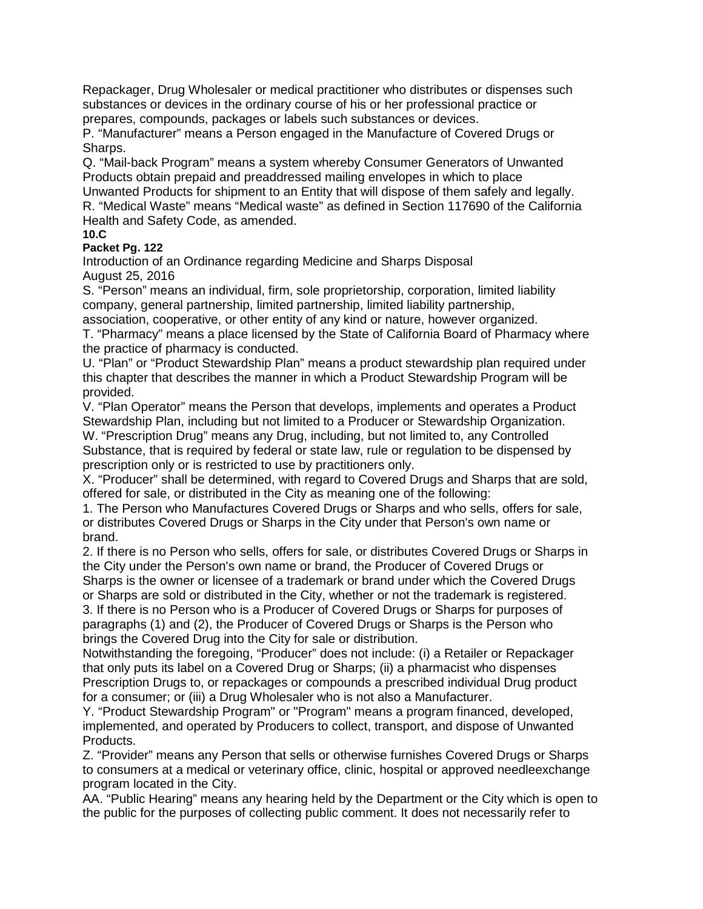Repackager, Drug Wholesaler or medical practitioner who distributes or dispenses such substances or devices in the ordinary course of his or her professional practice or prepares, compounds, packages or labels such substances or devices.

P. "Manufacturer" means a Person engaged in the Manufacture of Covered Drugs or Sharps.

Q. "Mail-back Program" means a system whereby Consumer Generators of Unwanted Products obtain prepaid and preaddressed mailing envelopes in which to place Unwanted Products for shipment to an Entity that will dispose of them safely and legally. R. "Medical Waste" means "Medical waste" as defined in Section 117690 of the California Health and Safety Code, as amended.

#### **10.C Packet Pg. 122**

Introduction of an Ordinance regarding Medicine and Sharps Disposal August 25, 2016

S. "Person" means an individual, firm, sole proprietorship, corporation, limited liability company, general partnership, limited partnership, limited liability partnership,

association, cooperative, or other entity of any kind or nature, however organized. T. "Pharmacy" means a place licensed by the State of California Board of Pharmacy where the practice of pharmacy is conducted.

U. "Plan" or "Product Stewardship Plan" means a product stewardship plan required under this chapter that describes the manner in which a Product Stewardship Program will be provided.

V. "Plan Operator" means the Person that develops, implements and operates a Product Stewardship Plan, including but not limited to a Producer or Stewardship Organization. W. "Prescription Drug" means any Drug, including, but not limited to, any Controlled Substance, that is required by federal or state law, rule or regulation to be dispensed by prescription only or is restricted to use by practitioners only.

X. "Producer" shall be determined, with regard to Covered Drugs and Sharps that are sold, offered for sale, or distributed in the City as meaning one of the following:

1. The Person who Manufactures Covered Drugs or Sharps and who sells, offers for sale, or distributes Covered Drugs or Sharps in the City under that Person's own name or brand.

2. If there is no Person who sells, offers for sale, or distributes Covered Drugs or Sharps in the City under the Person's own name or brand, the Producer of Covered Drugs or Sharps is the owner or licensee of a trademark or brand under which the Covered Drugs or Sharps are sold or distributed in the City, whether or not the trademark is registered. 3. If there is no Person who is a Producer of Covered Drugs or Sharps for purposes of paragraphs (1) and (2), the Producer of Covered Drugs or Sharps is the Person who

brings the Covered Drug into the City for sale or distribution.

Notwithstanding the foregoing, "Producer" does not include: (i) a Retailer or Repackager that only puts its label on a Covered Drug or Sharps; (ii) a pharmacist who dispenses Prescription Drugs to, or repackages or compounds a prescribed individual Drug product for a consumer; or (iii) a Drug Wholesaler who is not also a Manufacturer.

Y. "Product Stewardship Program" or "Program" means a program financed, developed, implemented, and operated by Producers to collect, transport, and dispose of Unwanted Products.

Z. "Provider" means any Person that sells or otherwise furnishes Covered Drugs or Sharps to consumers at a medical or veterinary office, clinic, hospital or approved needleexchange program located in the City.

AA. "Public Hearing" means any hearing held by the Department or the City which is open to the public for the purposes of collecting public comment. It does not necessarily refer to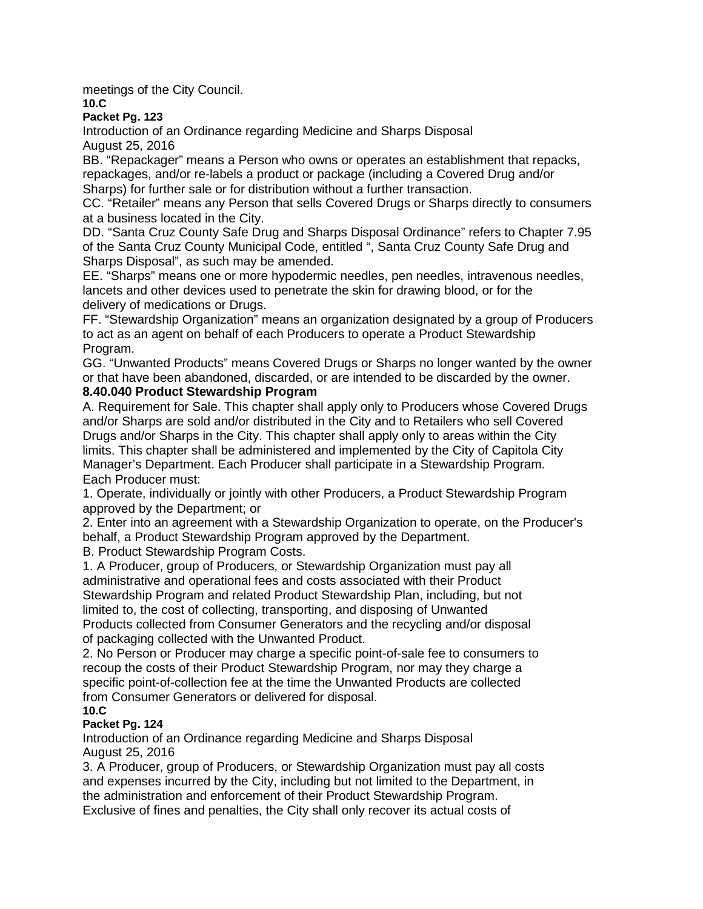meetings of the City Council.

#### **10.C**

#### **Packet Pg. 123**

Introduction of an Ordinance regarding Medicine and Sharps Disposal August 25, 2016

BB. "Repackager" means a Person who owns or operates an establishment that repacks, repackages, and/or re-labels a product or package (including a Covered Drug and/or Sharps) for further sale or for distribution without a further transaction.

CC. "Retailer" means any Person that sells Covered Drugs or Sharps directly to consumers at a business located in the City.

DD. "Santa Cruz County Safe Drug and Sharps Disposal Ordinance" refers to Chapter 7.95 of the Santa Cruz County Municipal Code, entitled ", Santa Cruz County Safe Drug and Sharps Disposal", as such may be amended.

EE. "Sharps" means one or more hypodermic needles, pen needles, intravenous needles, lancets and other devices used to penetrate the skin for drawing blood, or for the delivery of medications or Drugs.

FF. "Stewardship Organization" means an organization designated by a group of Producers to act as an agent on behalf of each Producers to operate a Product Stewardship Program.

GG. "Unwanted Products" means Covered Drugs or Sharps no longer wanted by the owner or that have been abandoned, discarded, or are intended to be discarded by the owner. **8.40.040 Product Stewardship Program**

A. Requirement for Sale. This chapter shall apply only to Producers whose Covered Drugs and/or Sharps are sold and/or distributed in the City and to Retailers who sell Covered Drugs and/or Sharps in the City. This chapter shall apply only to areas within the City limits. This chapter shall be administered and implemented by the City of Capitola City Manager's Department. Each Producer shall participate in a Stewardship Program. Each Producer must:

1. Operate, individually or jointly with other Producers, a Product Stewardship Program approved by the Department; or

2. Enter into an agreement with a Stewardship Organization to operate, on the Producer's behalf, a Product Stewardship Program approved by the Department.

B. Product Stewardship Program Costs.

1. A Producer, group of Producers, or Stewardship Organization must pay all administrative and operational fees and costs associated with their Product Stewardship Program and related Product Stewardship Plan, including, but not limited to, the cost of collecting, transporting, and disposing of Unwanted Products collected from Consumer Generators and the recycling and/or disposal of packaging collected with the Unwanted Product.

2. No Person or Producer may charge a specific point-of-sale fee to consumers to recoup the costs of their Product Stewardship Program, nor may they charge a specific point-of-collection fee at the time the Unwanted Products are collected from Consumer Generators or delivered for disposal. **10.C**

# **Packet Pg. 124**

Introduction of an Ordinance regarding Medicine and Sharps Disposal August 25, 2016

3. A Producer, group of Producers, or Stewardship Organization must pay all costs and expenses incurred by the City, including but not limited to the Department, in the administration and enforcement of their Product Stewardship Program. Exclusive of fines and penalties, the City shall only recover its actual costs of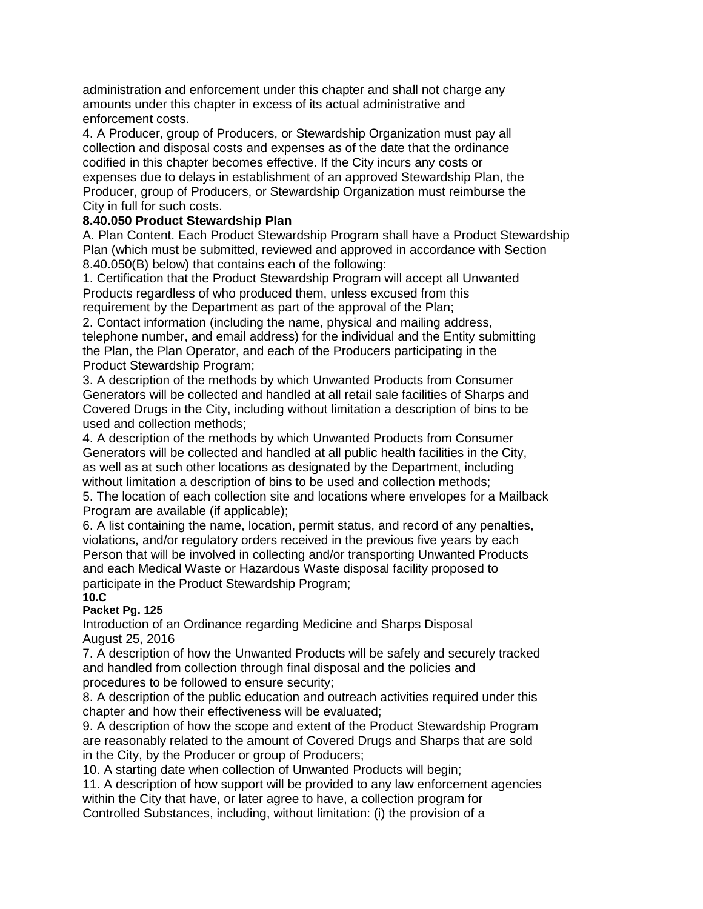administration and enforcement under this chapter and shall not charge any amounts under this chapter in excess of its actual administrative and enforcement costs.

4. A Producer, group of Producers, or Stewardship Organization must pay all collection and disposal costs and expenses as of the date that the ordinance codified in this chapter becomes effective. If the City incurs any costs or expenses due to delays in establishment of an approved Stewardship Plan, the Producer, group of Producers, or Stewardship Organization must reimburse the City in full for such costs.

### **8.40.050 Product Stewardship Plan**

A. Plan Content. Each Product Stewardship Program shall have a Product Stewardship Plan (which must be submitted, reviewed and approved in accordance with Section 8.40.050(B) below) that contains each of the following:

1. Certification that the Product Stewardship Program will accept all Unwanted Products regardless of who produced them, unless excused from this requirement by the Department as part of the approval of the Plan;

2. Contact information (including the name, physical and mailing address, telephone number, and email address) for the individual and the Entity submitting the Plan, the Plan Operator, and each of the Producers participating in the Product Stewardship Program;

3. A description of the methods by which Unwanted Products from Consumer Generators will be collected and handled at all retail sale facilities of Sharps and Covered Drugs in the City, including without limitation a description of bins to be used and collection methods;

4. A description of the methods by which Unwanted Products from Consumer Generators will be collected and handled at all public health facilities in the City, as well as at such other locations as designated by the Department, including without limitation a description of bins to be used and collection methods;

5. The location of each collection site and locations where envelopes for a Mailback Program are available (if applicable);

6. A list containing the name, location, permit status, and record of any penalties, violations, and/or regulatory orders received in the previous five years by each Person that will be involved in collecting and/or transporting Unwanted Products and each Medical Waste or Hazardous Waste disposal facility proposed to participate in the Product Stewardship Program; **10.C**

# **Packet Pg. 125**

Introduction of an Ordinance regarding Medicine and Sharps Disposal August 25, 2016

7. A description of how the Unwanted Products will be safely and securely tracked and handled from collection through final disposal and the policies and procedures to be followed to ensure security;

8. A description of the public education and outreach activities required under this chapter and how their effectiveness will be evaluated;

9. A description of how the scope and extent of the Product Stewardship Program are reasonably related to the amount of Covered Drugs and Sharps that are sold in the City, by the Producer or group of Producers;

10. A starting date when collection of Unwanted Products will begin;

11. A description of how support will be provided to any law enforcement agencies within the City that have, or later agree to have, a collection program for Controlled Substances, including, without limitation: (i) the provision of a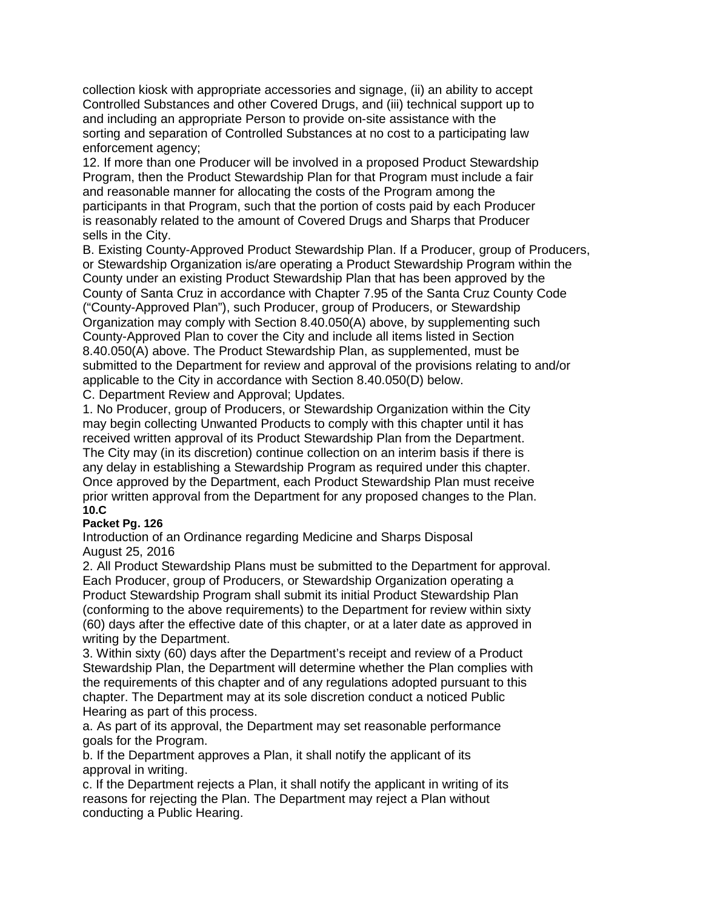collection kiosk with appropriate accessories and signage, (ii) an ability to accept Controlled Substances and other Covered Drugs, and (iii) technical support up to and including an appropriate Person to provide on-site assistance with the sorting and separation of Controlled Substances at no cost to a participating law enforcement agency;

12. If more than one Producer will be involved in a proposed Product Stewardship Program, then the Product Stewardship Plan for that Program must include a fair and reasonable manner for allocating the costs of the Program among the participants in that Program, such that the portion of costs paid by each Producer is reasonably related to the amount of Covered Drugs and Sharps that Producer sells in the City.

B. Existing County-Approved Product Stewardship Plan. If a Producer, group of Producers, or Stewardship Organization is/are operating a Product Stewardship Program within the County under an existing Product Stewardship Plan that has been approved by the County of Santa Cruz in accordance with Chapter 7.95 of the Santa Cruz County Code ("County-Approved Plan"), such Producer, group of Producers, or Stewardship Organization may comply with Section 8.40.050(A) above, by supplementing such County-Approved Plan to cover the City and include all items listed in Section 8.40.050(A) above. The Product Stewardship Plan, as supplemented, must be submitted to the Department for review and approval of the provisions relating to and/or applicable to the City in accordance with Section 8.40.050(D) below.

C. Department Review and Approval; Updates.

1. No Producer, group of Producers, or Stewardship Organization within the City may begin collecting Unwanted Products to comply with this chapter until it has received written approval of its Product Stewardship Plan from the Department. The City may (in its discretion) continue collection on an interim basis if there is any delay in establishing a Stewardship Program as required under this chapter. Once approved by the Department, each Product Stewardship Plan must receive prior written approval from the Department for any proposed changes to the Plan. **10.C**

#### **Packet Pg. 126**

Introduction of an Ordinance regarding Medicine and Sharps Disposal August 25, 2016

2. All Product Stewardship Plans must be submitted to the Department for approval. Each Producer, group of Producers, or Stewardship Organization operating a Product Stewardship Program shall submit its initial Product Stewardship Plan (conforming to the above requirements) to the Department for review within sixty (60) days after the effective date of this chapter, or at a later date as approved in writing by the Department.

3. Within sixty (60) days after the Department's receipt and review of a Product Stewardship Plan, the Department will determine whether the Plan complies with the requirements of this chapter and of any regulations adopted pursuant to this chapter. The Department may at its sole discretion conduct a noticed Public Hearing as part of this process.

a. As part of its approval, the Department may set reasonable performance goals for the Program.

b. If the Department approves a Plan, it shall notify the applicant of its approval in writing.

c. If the Department rejects a Plan, it shall notify the applicant in writing of its reasons for rejecting the Plan. The Department may reject a Plan without conducting a Public Hearing.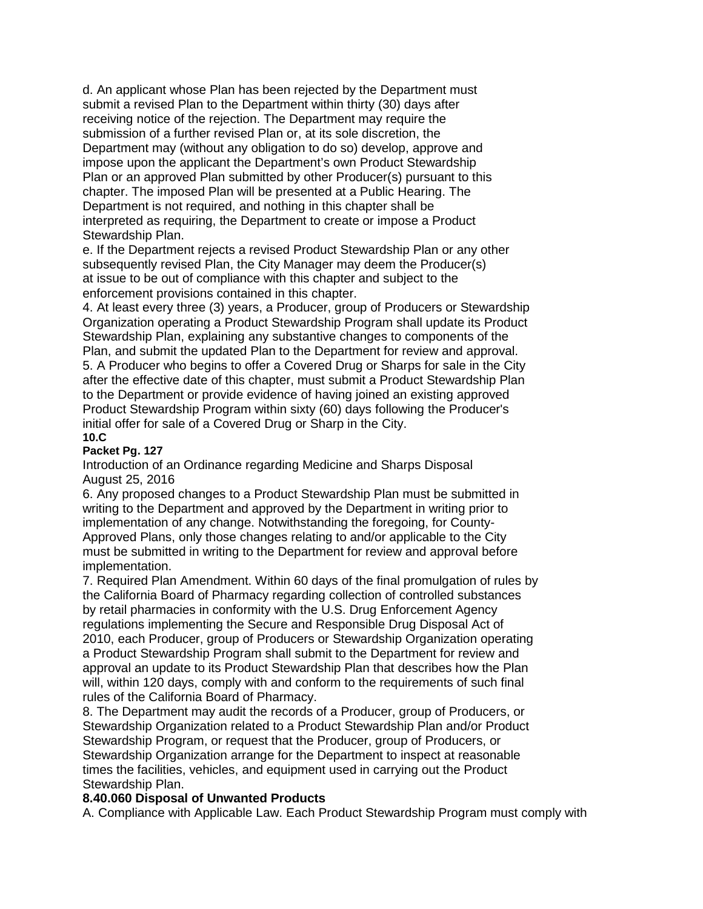d. An applicant whose Plan has been rejected by the Department must submit a revised Plan to the Department within thirty (30) days after receiving notice of the rejection. The Department may require the submission of a further revised Plan or, at its sole discretion, the Department may (without any obligation to do so) develop, approve and impose upon the applicant the Department's own Product Stewardship Plan or an approved Plan submitted by other Producer(s) pursuant to this chapter. The imposed Plan will be presented at a Public Hearing. The Department is not required, and nothing in this chapter shall be interpreted as requiring, the Department to create or impose a Product Stewardship Plan.

e. If the Department rejects a revised Product Stewardship Plan or any other subsequently revised Plan, the City Manager may deem the Producer(s) at issue to be out of compliance with this chapter and subject to the enforcement provisions contained in this chapter.

4. At least every three (3) years, a Producer, group of Producers or Stewardship Organization operating a Product Stewardship Program shall update its Product Stewardship Plan, explaining any substantive changes to components of the Plan, and submit the updated Plan to the Department for review and approval. 5. A Producer who begins to offer a Covered Drug or Sharps for sale in the City after the effective date of this chapter, must submit a Product Stewardship Plan to the Department or provide evidence of having joined an existing approved Product Stewardship Program within sixty (60) days following the Producer's initial offer for sale of a Covered Drug or Sharp in the City. **10.C**

### **Packet Pg. 127**

Introduction of an Ordinance regarding Medicine and Sharps Disposal August 25, 2016

6. Any proposed changes to a Product Stewardship Plan must be submitted in writing to the Department and approved by the Department in writing prior to implementation of any change. Notwithstanding the foregoing, for County-Approved Plans, only those changes relating to and/or applicable to the City must be submitted in writing to the Department for review and approval before implementation.

7. Required Plan Amendment. Within 60 days of the final promulgation of rules by the California Board of Pharmacy regarding collection of controlled substances by retail pharmacies in conformity with the U.S. Drug Enforcement Agency regulations implementing the Secure and Responsible Drug Disposal Act of 2010, each Producer, group of Producers or Stewardship Organization operating a Product Stewardship Program shall submit to the Department for review and approval an update to its Product Stewardship Plan that describes how the Plan will, within 120 days, comply with and conform to the requirements of such final rules of the California Board of Pharmacy.

8. The Department may audit the records of a Producer, group of Producers, or Stewardship Organization related to a Product Stewardship Plan and/or Product Stewardship Program, or request that the Producer, group of Producers, or Stewardship Organization arrange for the Department to inspect at reasonable times the facilities, vehicles, and equipment used in carrying out the Product Stewardship Plan.

#### **8.40.060 Disposal of Unwanted Products**

A. Compliance with Applicable Law. Each Product Stewardship Program must comply with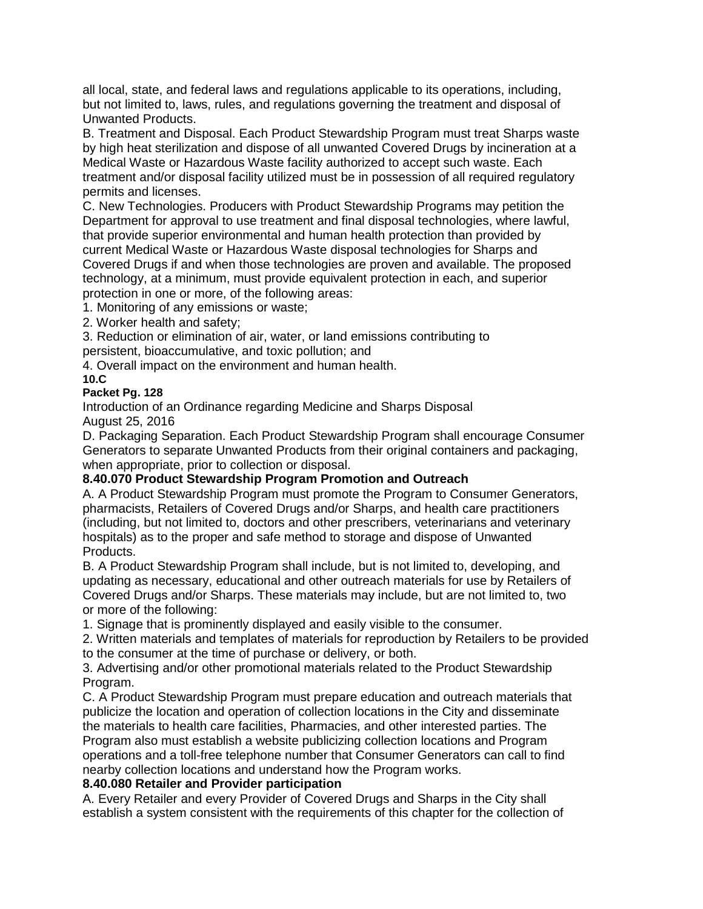all local, state, and federal laws and regulations applicable to its operations, including, but not limited to, laws, rules, and regulations governing the treatment and disposal of Unwanted Products.

B. Treatment and Disposal. Each Product Stewardship Program must treat Sharps waste by high heat sterilization and dispose of all unwanted Covered Drugs by incineration at a Medical Waste or Hazardous Waste facility authorized to accept such waste. Each treatment and/or disposal facility utilized must be in possession of all required regulatory permits and licenses.

C. New Technologies. Producers with Product Stewardship Programs may petition the Department for approval to use treatment and final disposal technologies, where lawful, that provide superior environmental and human health protection than provided by current Medical Waste or Hazardous Waste disposal technologies for Sharps and Covered Drugs if and when those technologies are proven and available. The proposed technology, at a minimum, must provide equivalent protection in each, and superior protection in one or more, of the following areas:

1. Monitoring of any emissions or waste;

2. Worker health and safety;

3. Reduction or elimination of air, water, or land emissions contributing to persistent, bioaccumulative, and toxic pollution; and

4. Overall impact on the environment and human health.

**10.C**

#### **Packet Pg. 128**

Introduction of an Ordinance regarding Medicine and Sharps Disposal August 25, 2016

D. Packaging Separation. Each Product Stewardship Program shall encourage Consumer Generators to separate Unwanted Products from their original containers and packaging, when appropriate, prior to collection or disposal.

#### **8.40.070 Product Stewardship Program Promotion and Outreach**

A. A Product Stewardship Program must promote the Program to Consumer Generators, pharmacists, Retailers of Covered Drugs and/or Sharps, and health care practitioners (including, but not limited to, doctors and other prescribers, veterinarians and veterinary hospitals) as to the proper and safe method to storage and dispose of Unwanted Products.

B. A Product Stewardship Program shall include, but is not limited to, developing, and updating as necessary, educational and other outreach materials for use by Retailers of Covered Drugs and/or Sharps. These materials may include, but are not limited to, two or more of the following:

1. Signage that is prominently displayed and easily visible to the consumer.

2. Written materials and templates of materials for reproduction by Retailers to be provided to the consumer at the time of purchase or delivery, or both.

3. Advertising and/or other promotional materials related to the Product Stewardship Program.

C. A Product Stewardship Program must prepare education and outreach materials that publicize the location and operation of collection locations in the City and disseminate the materials to health care facilities, Pharmacies, and other interested parties. The Program also must establish a website publicizing collection locations and Program operations and a toll-free telephone number that Consumer Generators can call to find nearby collection locations and understand how the Program works.

#### **8.40.080 Retailer and Provider participation**

A. Every Retailer and every Provider of Covered Drugs and Sharps in the City shall establish a system consistent with the requirements of this chapter for the collection of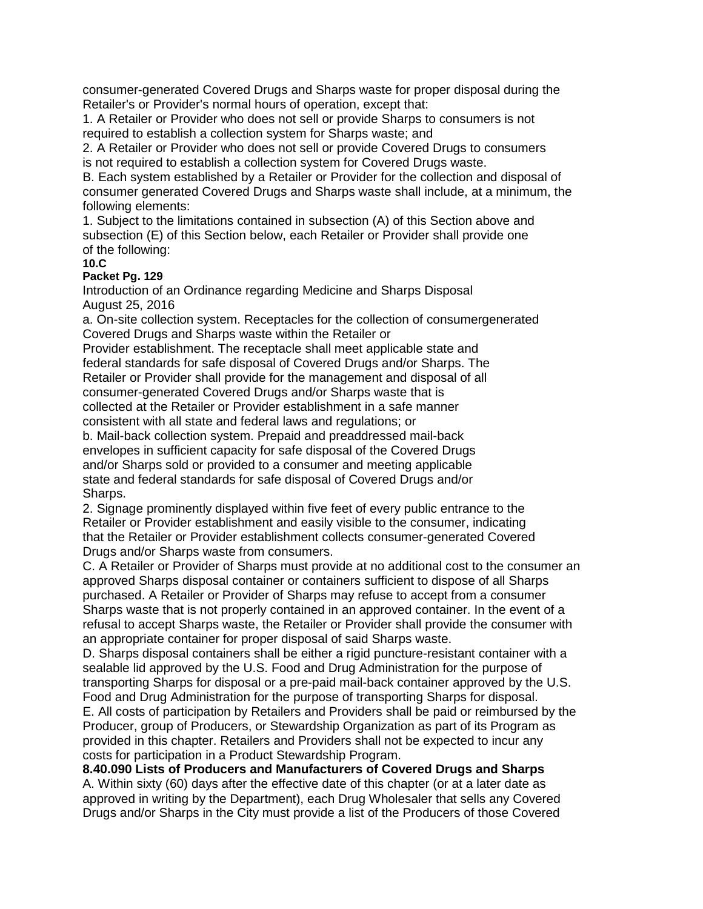consumer-generated Covered Drugs and Sharps waste for proper disposal during the Retailer's or Provider's normal hours of operation, except that:

1. A Retailer or Provider who does not sell or provide Sharps to consumers is not required to establish a collection system for Sharps waste; and

2. A Retailer or Provider who does not sell or provide Covered Drugs to consumers is not required to establish a collection system for Covered Drugs waste.

B. Each system established by a Retailer or Provider for the collection and disposal of consumer generated Covered Drugs and Sharps waste shall include, at a minimum, the following elements:

1. Subject to the limitations contained in subsection (A) of this Section above and subsection (E) of this Section below, each Retailer or Provider shall provide one of the following:

**10.C**

#### **Packet Pg. 129**

Introduction of an Ordinance regarding Medicine and Sharps Disposal August 25, 2016

a. On-site collection system. Receptacles for the collection of consumergenerated Covered Drugs and Sharps waste within the Retailer or

Provider establishment. The receptacle shall meet applicable state and federal standards for safe disposal of Covered Drugs and/or Sharps. The Retailer or Provider shall provide for the management and disposal of all consumer-generated Covered Drugs and/or Sharps waste that is collected at the Retailer or Provider establishment in a safe manner consistent with all state and federal laws and regulations; or

b. Mail-back collection system. Prepaid and preaddressed mail-back envelopes in sufficient capacity for safe disposal of the Covered Drugs and/or Sharps sold or provided to a consumer and meeting applicable state and federal standards for safe disposal of Covered Drugs and/or Sharps.

2. Signage prominently displayed within five feet of every public entrance to the Retailer or Provider establishment and easily visible to the consumer, indicating that the Retailer or Provider establishment collects consumer-generated Covered Drugs and/or Sharps waste from consumers.

C. A Retailer or Provider of Sharps must provide at no additional cost to the consumer an approved Sharps disposal container or containers sufficient to dispose of all Sharps purchased. A Retailer or Provider of Sharps may refuse to accept from a consumer Sharps waste that is not properly contained in an approved container. In the event of a refusal to accept Sharps waste, the Retailer or Provider shall provide the consumer with an appropriate container for proper disposal of said Sharps waste.

D. Sharps disposal containers shall be either a rigid puncture-resistant container with a sealable lid approved by the U.S. Food and Drug Administration for the purpose of transporting Sharps for disposal or a pre-paid mail-back container approved by the U.S. Food and Drug Administration for the purpose of transporting Sharps for disposal.

E. All costs of participation by Retailers and Providers shall be paid or reimbursed by the Producer, group of Producers, or Stewardship Organization as part of its Program as provided in this chapter. Retailers and Providers shall not be expected to incur any costs for participation in a Product Stewardship Program.

**8.40.090 Lists of Producers and Manufacturers of Covered Drugs and Sharps** A. Within sixty (60) days after the effective date of this chapter (or at a later date as approved in writing by the Department), each Drug Wholesaler that sells any Covered Drugs and/or Sharps in the City must provide a list of the Producers of those Covered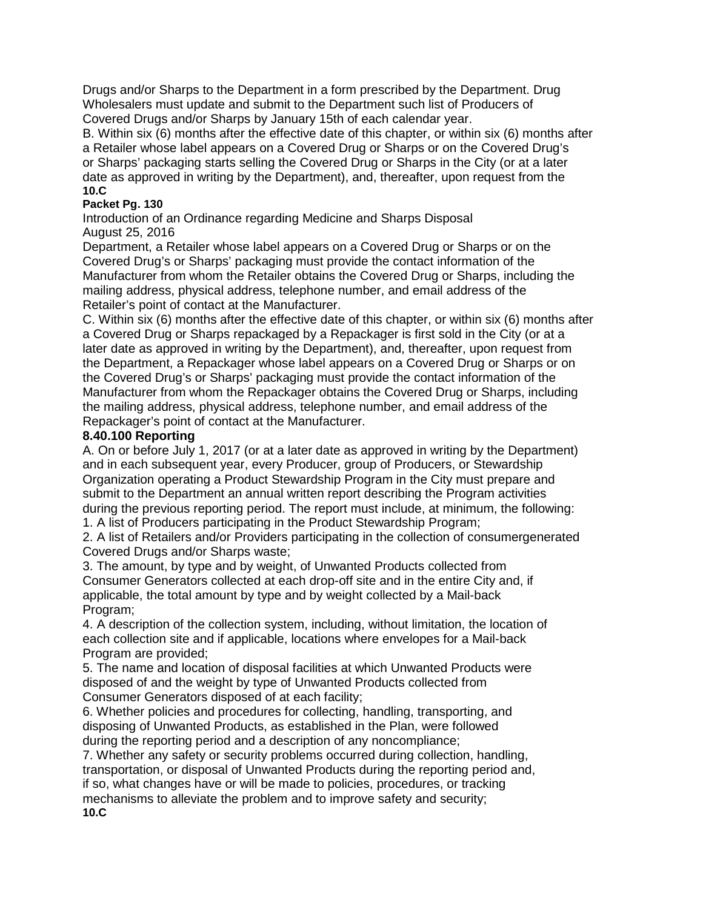Drugs and/or Sharps to the Department in a form prescribed by the Department. Drug Wholesalers must update and submit to the Department such list of Producers of Covered Drugs and/or Sharps by January 15th of each calendar year.

B. Within six (6) months after the effective date of this chapter, or within six (6) months after a Retailer whose label appears on a Covered Drug or Sharps or on the Covered Drug's or Sharps' packaging starts selling the Covered Drug or Sharps in the City (or at a later date as approved in writing by the Department), and, thereafter, upon request from the **10.C**

### **Packet Pg. 130**

Introduction of an Ordinance regarding Medicine and Sharps Disposal August 25, 2016

Department, a Retailer whose label appears on a Covered Drug or Sharps or on the Covered Drug's or Sharps' packaging must provide the contact information of the Manufacturer from whom the Retailer obtains the Covered Drug or Sharps, including the mailing address, physical address, telephone number, and email address of the Retailer's point of contact at the Manufacturer.

C. Within six (6) months after the effective date of this chapter, or within six (6) months after a Covered Drug or Sharps repackaged by a Repackager is first sold in the City (or at a later date as approved in writing by the Department), and, thereafter, upon request from the Department, a Repackager whose label appears on a Covered Drug or Sharps or on the Covered Drug's or Sharps' packaging must provide the contact information of the Manufacturer from whom the Repackager obtains the Covered Drug or Sharps, including the mailing address, physical address, telephone number, and email address of the Repackager's point of contact at the Manufacturer.

### **8.40.100 Reporting**

A. On or before July 1, 2017 (or at a later date as approved in writing by the Department) and in each subsequent year, every Producer, group of Producers, or Stewardship Organization operating a Product Stewardship Program in the City must prepare and submit to the Department an annual written report describing the Program activities during the previous reporting period. The report must include, at minimum, the following: 1. A list of Producers participating in the Product Stewardship Program;

2. A list of Retailers and/or Providers participating in the collection of consumergenerated Covered Drugs and/or Sharps waste;

3. The amount, by type and by weight, of Unwanted Products collected from Consumer Generators collected at each drop-off site and in the entire City and, if applicable, the total amount by type and by weight collected by a Mail-back Program;

4. A description of the collection system, including, without limitation, the location of each collection site and if applicable, locations where envelopes for a Mail-back Program are provided;

5. The name and location of disposal facilities at which Unwanted Products were disposed of and the weight by type of Unwanted Products collected from Consumer Generators disposed of at each facility;

6. Whether policies and procedures for collecting, handling, transporting, and disposing of Unwanted Products, as established in the Plan, were followed during the reporting period and a description of any noncompliance;

7. Whether any safety or security problems occurred during collection, handling, transportation, or disposal of Unwanted Products during the reporting period and, if so, what changes have or will be made to policies, procedures, or tracking mechanisms to alleviate the problem and to improve safety and security; **10.C**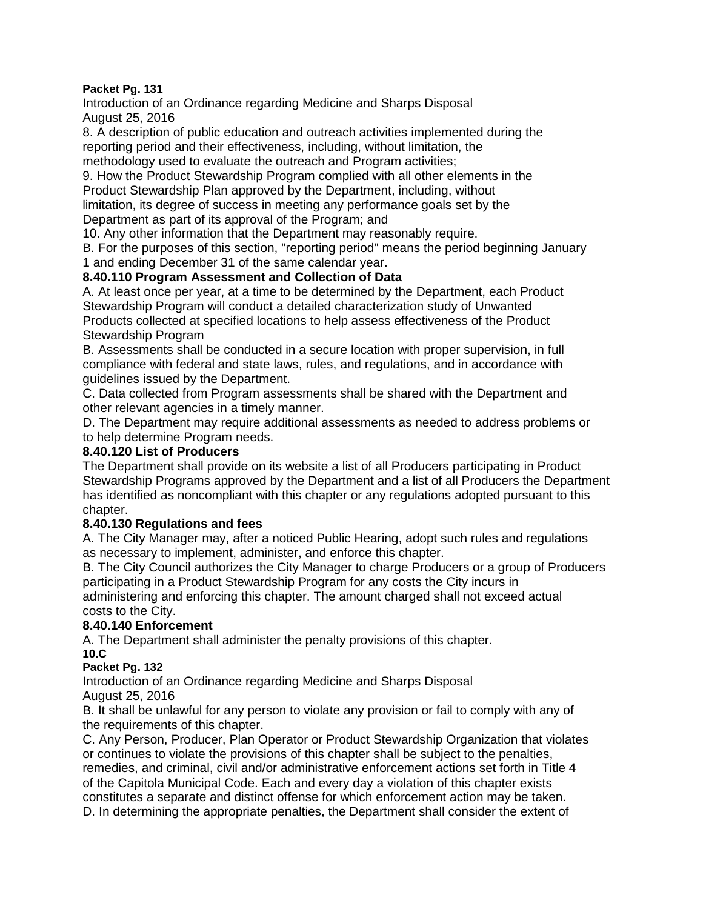#### **Packet Pg. 131**

Introduction of an Ordinance regarding Medicine and Sharps Disposal August 25, 2016

8. A description of public education and outreach activities implemented during the reporting period and their effectiveness, including, without limitation, the methodology used to evaluate the outreach and Program activities;

9. How the Product Stewardship Program complied with all other elements in the Product Stewardship Plan approved by the Department, including, without limitation, its degree of success in meeting any performance goals set by the Department as part of its approval of the Program; and

10. Any other information that the Department may reasonably require.

B. For the purposes of this section, "reporting period" means the period beginning January 1 and ending December 31 of the same calendar year.

### **8.40.110 Program Assessment and Collection of Data**

A. At least once per year, at a time to be determined by the Department, each Product Stewardship Program will conduct a detailed characterization study of Unwanted Products collected at specified locations to help assess effectiveness of the Product Stewardship Program

B. Assessments shall be conducted in a secure location with proper supervision, in full compliance with federal and state laws, rules, and regulations, and in accordance with guidelines issued by the Department.

C. Data collected from Program assessments shall be shared with the Department and other relevant agencies in a timely manner.

D. The Department may require additional assessments as needed to address problems or to help determine Program needs.

#### **8.40.120 List of Producers**

The Department shall provide on its website a list of all Producers participating in Product Stewardship Programs approved by the Department and a list of all Producers the Department has identified as noncompliant with this chapter or any regulations adopted pursuant to this chapter.

#### **8.40.130 Regulations and fees**

A. The City Manager may, after a noticed Public Hearing, adopt such rules and regulations as necessary to implement, administer, and enforce this chapter.

B. The City Council authorizes the City Manager to charge Producers or a group of Producers participating in a Product Stewardship Program for any costs the City incurs in administering and enforcing this chapter. The amount charged shall not exceed actual costs to the City.

# **8.40.140 Enforcement**

A. The Department shall administer the penalty provisions of this chapter. **10.C**

#### **Packet Pg. 132**

Introduction of an Ordinance regarding Medicine and Sharps Disposal August 25, 2016

B. It shall be unlawful for any person to violate any provision or fail to comply with any of the requirements of this chapter.

C. Any Person, Producer, Plan Operator or Product Stewardship Organization that violates or continues to violate the provisions of this chapter shall be subject to the penalties, remedies, and criminal, civil and/or administrative enforcement actions set forth in Title 4 of the Capitola Municipal Code. Each and every day a violation of this chapter exists constitutes a separate and distinct offense for which enforcement action may be taken. D. In determining the appropriate penalties, the Department shall consider the extent of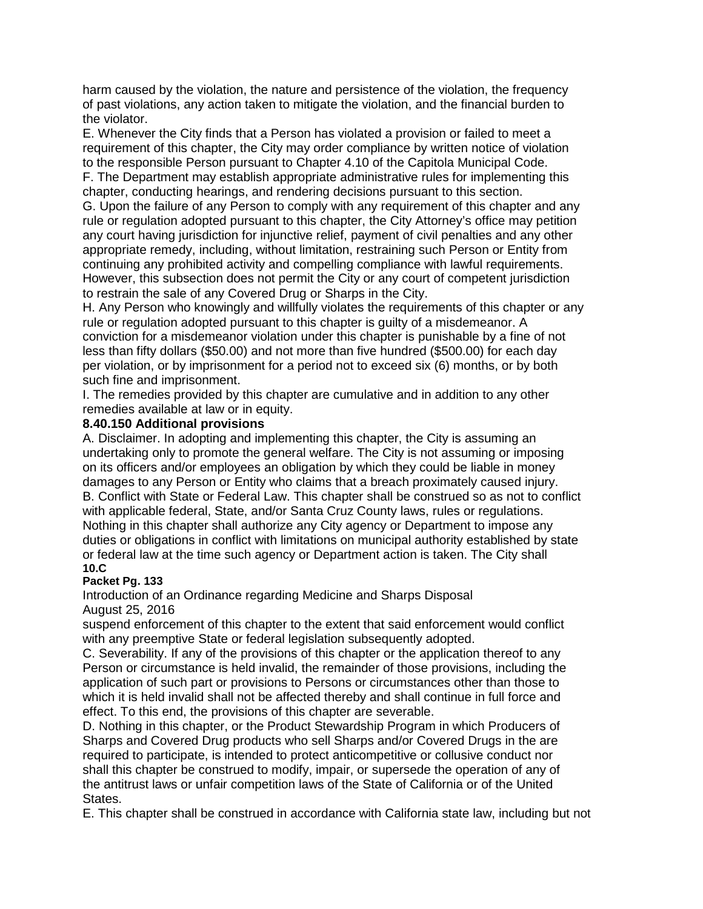harm caused by the violation, the nature and persistence of the violation, the frequency of past violations, any action taken to mitigate the violation, and the financial burden to the violator.

E. Whenever the City finds that a Person has violated a provision or failed to meet a requirement of this chapter, the City may order compliance by written notice of violation to the responsible Person pursuant to Chapter 4.10 of the Capitola Municipal Code.

F. The Department may establish appropriate administrative rules for implementing this chapter, conducting hearings, and rendering decisions pursuant to this section.

G. Upon the failure of any Person to comply with any requirement of this chapter and any rule or regulation adopted pursuant to this chapter, the City Attorney's office may petition any court having jurisdiction for injunctive relief, payment of civil penalties and any other appropriate remedy, including, without limitation, restraining such Person or Entity from continuing any prohibited activity and compelling compliance with lawful requirements. However, this subsection does not permit the City or any court of competent jurisdiction to restrain the sale of any Covered Drug or Sharps in the City.

H. Any Person who knowingly and willfully violates the requirements of this chapter or any rule or regulation adopted pursuant to this chapter is guilty of a misdemeanor. A conviction for a misdemeanor violation under this chapter is punishable by a fine of not less than fifty dollars (\$50.00) and not more than five hundred (\$500.00) for each day per violation, or by imprisonment for a period not to exceed six (6) months, or by both such fine and imprisonment.

I. The remedies provided by this chapter are cumulative and in addition to any other remedies available at law or in equity.

#### **8.40.150 Additional provisions**

A. Disclaimer. In adopting and implementing this chapter, the City is assuming an undertaking only to promote the general welfare. The City is not assuming or imposing on its officers and/or employees an obligation by which they could be liable in money damages to any Person or Entity who claims that a breach proximately caused injury. B. Conflict with State or Federal Law. This chapter shall be construed so as not to conflict with applicable federal, State, and/or Santa Cruz County laws, rules or regulations. Nothing in this chapter shall authorize any City agency or Department to impose any duties or obligations in conflict with limitations on municipal authority established by state or federal law at the time such agency or Department action is taken. The City shall **10.C**

#### **Packet Pg. 133**

Introduction of an Ordinance regarding Medicine and Sharps Disposal August 25, 2016

suspend enforcement of this chapter to the extent that said enforcement would conflict with any preemptive State or federal legislation subsequently adopted.

C. Severability. If any of the provisions of this chapter or the application thereof to any Person or circumstance is held invalid, the remainder of those provisions, including the application of such part or provisions to Persons or circumstances other than those to which it is held invalid shall not be affected thereby and shall continue in full force and effect. To this end, the provisions of this chapter are severable.

D. Nothing in this chapter, or the Product Stewardship Program in which Producers of Sharps and Covered Drug products who sell Sharps and/or Covered Drugs in the are required to participate, is intended to protect anticompetitive or collusive conduct nor shall this chapter be construed to modify, impair, or supersede the operation of any of the antitrust laws or unfair competition laws of the State of California or of the United States.

E. This chapter shall be construed in accordance with California state law, including but not